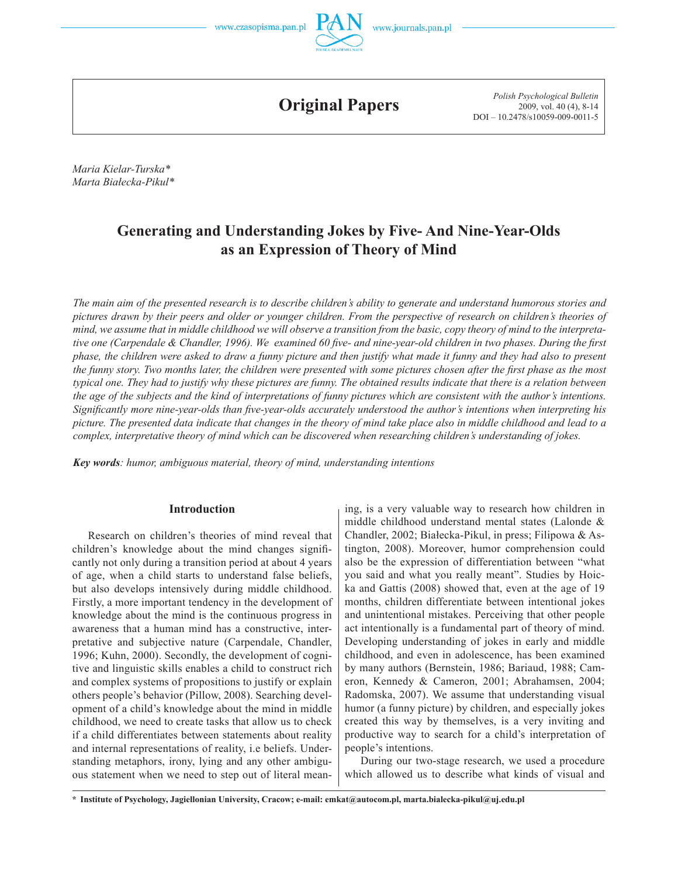



**Original Papers**

*Polish Psychological Bulletin* 2009, vol. 40 (4), 8-14 DOI – 10.2478/s10059-009-0011-5

*Maria Kielar-Turska\* Marta Białecka-Pikul\**

# **Generating and Understanding Jokes by Five- And Nine-Year-Olds as an Expression of Theory of Mind**

*The main aim of the presented research is to describe children's ability to generate and understand humorous stories and pictures drawn by their peers and older or younger children. From the perspective of research on children's theories of mind, we assume that in middle childhood we will observe a transition from the basic, copy theory of mind to the interpretative one (Carpendale & Chandler, 1996). We examined 60 five- and nine-year-old children in two phases. During the first phase, the children were asked to draw a funny picture and then justify what made it funny and they had also to present the funny story. Two months later, the children were presented with some pictures chosen after the first phase as the most typical one. They had to justify why these pictures are funny. The obtained results indicate that there is a relation between the age of the subjects and the kind of interpretations of funny pictures which are consistent with the author's intentions. Significantly more nine-year-olds than five-year-olds accurately understood the author's intentions when interpreting his picture. The presented data indicate that changes in the theory of mind take place also in middle childhood and lead to a complex, interpretative theory of mind which can be discovered when researching children's understanding of jokes.*

*Key words: humor, ambiguous material, theory of mind, understanding intentions*

## **Introduction**

Research on children's theories of mind reveal that children's knowledge about the mind changes significantly not only during a transition period at about 4 years of age, when a child starts to understand false beliefs, but also develops intensively during middle childhood. Firstly, a more important tendency in the development of knowledge about the mind is the continuous progress in awareness that a human mind has a constructive, interpretative and subjective nature (Carpendale, Chandler, 1996; Kuhn, 2000). Secondly, the development of cognitive and linguistic skills enables a child to construct rich and complex systems of propositions to justify or explain others people's behavior (Pillow, 2008). Searching development of a child's knowledge about the mind in middle childhood, we need to create tasks that allow us to check if a child differentiates between statements about reality and internal representations of reality, i.e beliefs. Understanding metaphors, irony, lying and any other ambiguous statement when we need to step out of literal meaning, is a very valuable way to research how children in middle childhood understand mental states (Lalonde & Chandler, 2002; Białecka-Pikul, in press; Filipowa & Astington, 2008). Moreover, humor comprehension could also be the expression of differentiation between "what you said and what you really meant". Studies by Hoicka and Gattis (2008) showed that, even at the age of 19 months, children differentiate between intentional jokes and unintentional mistakes. Perceiving that other people act intentionally is a fundamental part of theory of mind. Developing understanding of jokes in early and middle childhood, and even in adolescence, has been examined by many authors (Bernstein, 1986; Bariaud, 1988; Cameron, Kennedy & Cameron, 2001; Abrahamsen, 2004; Radomska, 2007). We assume that understanding visual humor (a funny picture) by children, and especially jokes created this way by themselves, is a very inviting and productive way to search for a child's interpretation of people's intentions.

During our two-stage research, we used a procedure which allowed us to describe what kinds of visual and

**<sup>\*</sup> Institute of Psychology, Jagiellonian University, Cracow; e-mail: emkat@autocom.pl, marta.bialecka-pikul@uj.edu.pl**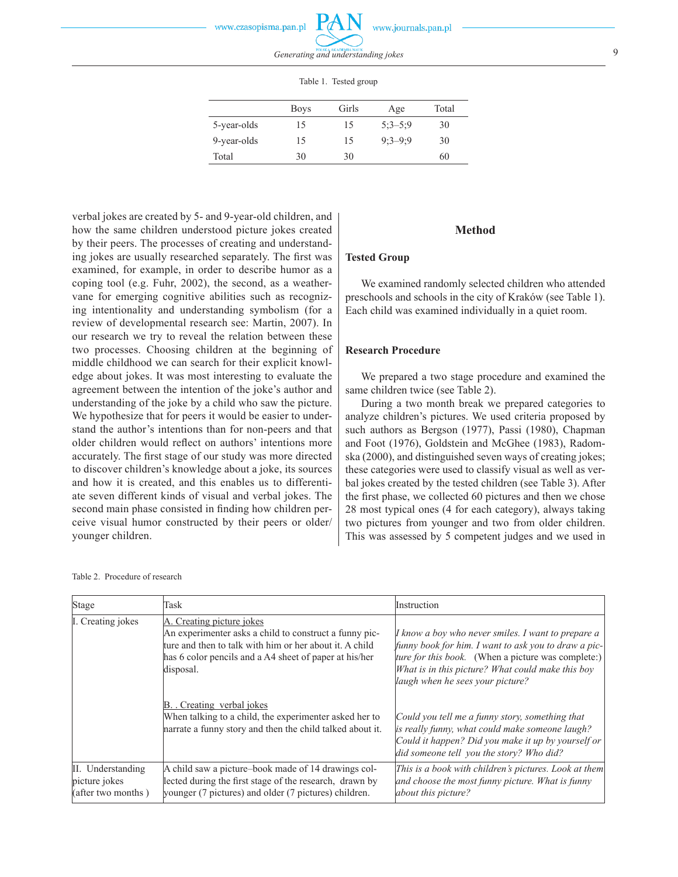Table 1. Tested group

|             | <b>Boys</b> | Girls | Age       | Total |
|-------------|-------------|-------|-----------|-------|
| 5-year-olds | 15          | 15    | $5:3-5:9$ | 30    |
| 9-year-olds | 15          | 15    | $9:3-9:9$ | 30    |
| Total       | 30          | 30    |           | 60    |

verbal jokes are created by 5- and 9-year-old children, and how the same children understood picture jokes created by their peers. The processes of creating and understanding jokes are usually researched separately. The first was examined, for example, in order to describe humor as a coping tool (e.g. Fuhr, 2002), the second, as a weathervane for emerging cognitive abilities such as recognizing intentionality and understanding symbolism (for a review of developmental research see: Martin, 2007). In our research we try to reveal the relation between these two processes. Choosing children at the beginning of middle childhood we can search for their explicit knowledge about jokes. It was most interesting to evaluate the agreement between the intention of the joke's author and understanding of the joke by a child who saw the picture. We hypothesize that for peers it would be easier to understand the author's intentions than for non-peers and that older children would reflect on authors' intentions more accurately. The first stage of our study was more directed to discover children's knowledge about a joke, its sources and how it is created, and this enables us to differentiate seven different kinds of visual and verbal jokes. The second main phase consisted in finding how children perceive visual humor constructed by their peers or older/ younger children.

# **Method**

# **Tested Group**

We examined randomly selected children who attended preschools and schools in the city of Kraków (see Table 1). Each child was examined individually in a quiet room.

## **Research Procedure**

We prepared a two stage procedure and examined the same children twice (see Table 2).

During a two month break we prepared categories to analyze children's pictures. We used criteria proposed by such authors as Bergson (1977), Passi (1980), Chapman and Foot (1976), Goldstein and McGhee (1983), Radomska (2000), and distinguished seven ways of creating jokes; these categories were used to classify visual as well as verbal jokes created by the tested children (see Table 3). After the first phase, we collected 60 pictures and then we chose 28 most typical ones (4 for each category), always taking two pictures from younger and two from older children. This was assessed by 5 competent judges and we used in

| Stage                                                                                                                                                                                                                               | Task                                                                                                                                                                                                                  | Instruction                                                                                                                                                                                                                                               |
|-------------------------------------------------------------------------------------------------------------------------------------------------------------------------------------------------------------------------------------|-----------------------------------------------------------------------------------------------------------------------------------------------------------------------------------------------------------------------|-----------------------------------------------------------------------------------------------------------------------------------------------------------------------------------------------------------------------------------------------------------|
| I. Creating jokes                                                                                                                                                                                                                   | A. Creating picture jokes<br>An experimenter asks a child to construct a funny pic-<br>ture and then to talk with him or her about it. A child<br>has 6 color pencils and a A4 sheet of paper at his/her<br>disposal. | I know a boy who never smiles. I want to prepare a<br>funny book for him. I want to ask you to draw a pic-<br>ture for this book. (When a picture was complete:)<br>What is in this picture? What could make this boy<br>laugh when he sees your picture? |
|                                                                                                                                                                                                                                     | B. Creating verbal jokes<br>When talking to a child, the experimenter asked her to<br>narrate a funny story and then the child talked about it.                                                                       | Could you tell me a funny story, something that<br>is really funny, what could make someone laugh?<br>Could it happen? Did you make it up by yourself or<br>did someone tell you the story? Who did?                                                      |
| II. Understanding<br>A child saw a picture-book made of 14 drawings col-<br>lected during the first stage of the research, drawn by<br>picture jokes<br>younger (7 pictures) and older (7 pictures) children.<br>(after two months) |                                                                                                                                                                                                                       | This is a book with children's pictures. Look at them<br>and choose the most funny picture. What is funny<br>about this picture?                                                                                                                          |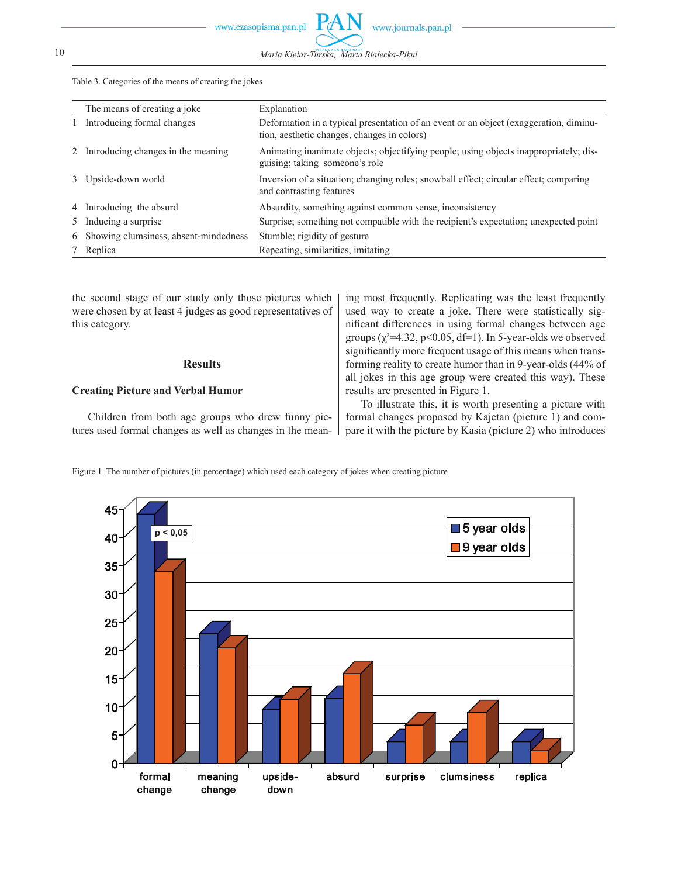10 *Maria Kielar-Turska, Marta Białecka-Pikul*

P

Table 3. Categories of the means of creating the jokes

| The means of creating a joke            | Explanation                                                                                                                          |
|-----------------------------------------|--------------------------------------------------------------------------------------------------------------------------------------|
| Introducing formal changes              | Deformation in a typical presentation of an event or an object (exaggeration, diminu-<br>tion, aesthetic changes, changes in colors) |
| 2 Introducing changes in the meaning    | Animating inanimate objects; objectifying people; using objects inappropriately; dis-<br>guising; taking someone's role              |
| 3 Upside-down world                     | Inversion of a situation; changing roles; snowball effect; circular effect; comparing<br>and contrasting features                    |
| 4 Introducing the absurd                | Absurdity, something against common sense, inconsistency                                                                             |
| 5 Inducing a surprise                   | Surprise; something not compatible with the recipient's expectation; unexpected point                                                |
| 6 Showing clumsiness, absent-mindedness | Stumble; rigidity of gesture                                                                                                         |
| 7 Replica                               | Repeating, similarities, imitating                                                                                                   |

| the second stage of our study only those pictures which<br>were chosen by at least 4 judges as good representatives of | ing most frequently. Replicating was the least frequently<br>used way to create a joke. There were statistically sig- |
|------------------------------------------------------------------------------------------------------------------------|-----------------------------------------------------------------------------------------------------------------------|
| this category.                                                                                                         | nificant differences in using formal changes between age                                                              |
|                                                                                                                        | groups $(\chi^2=4.32, p<0.05, df=1)$ . In 5-year-olds we observed                                                     |
|                                                                                                                        | significantly more frequent usage of this means when trans-                                                           |
| <b>Results</b>                                                                                                         | forming reality to create humor than in 9-year-olds (44% of                                                           |
|                                                                                                                        | all jokes in this age group were created this way). These                                                             |
| <b>Creating Picture and Verbal Humor</b>                                                                               | results are presented in Figure 1.                                                                                    |
|                                                                                                                        | To illustrate this, it is worth presenting a picture with                                                             |
| Children from both age groups who drew funny pic-                                                                      | formal changes proposed by Kajetan (picture 1) and com-                                                               |
| tures used formal changes as well as changes in the mean-                                                              | pare it with the picture by Kasia (picture 2) who introduces                                                          |



Figure 1. The number of pictures (in percentage) which used each category of jokes when creating picture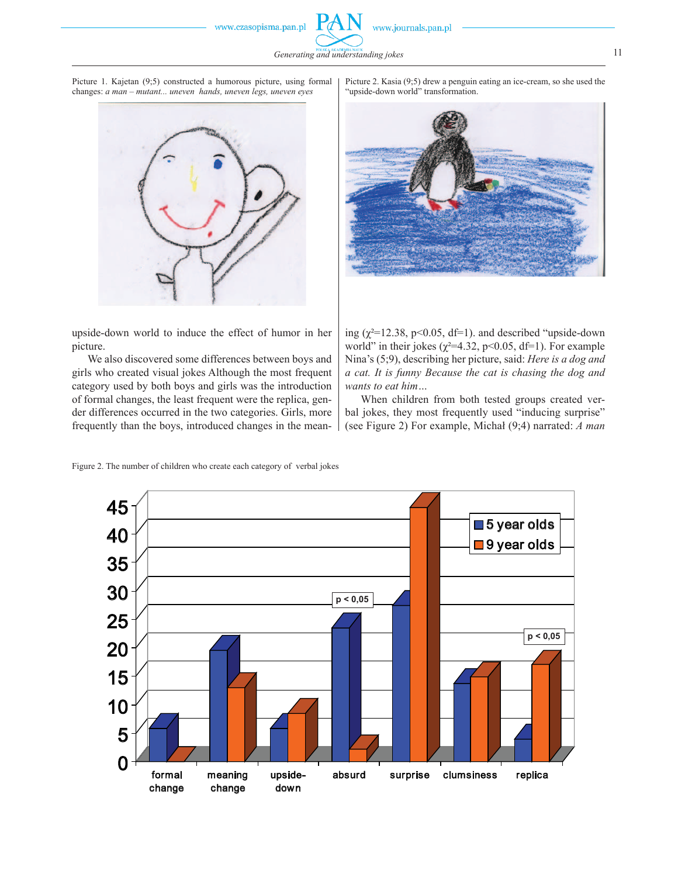www.czasopisma.pan.pl



*Generating and understanding jokes* 11





Picture 2. Kasia (9;5) drew a penguin eating an ice-cream, so she used the "upside-down world" transformation.



upside-down world to induce the effect of humor in her picture.

We also discovered some differences between boys and girls who created visual jokes Although the most frequent category used by both boys and girls was the introduction of formal changes, the least frequent were the replica, gender differences occurred in the two categories. Girls, more frequently than the boys, introduced changes in the meaning  $(\chi^2=12.38, \text{ p}<0.05, \text{ df}=1)$ . and described "upside-down" world" in their jokes ( $\chi^2$ =4.32, p<0.05, df=1). For example Nina's (5;9), describing her picture, said: *Here is a dog and a cat. It is funny Because the cat is chasing the dog and wants to eat him…*

When children from both tested groups created verbal jokes, they most frequently used "inducing surprise" (see Figure 2) For example, Michał (9;4) narrated: *A man* 

Figure 2. The number of children who create each category of verbal jokes

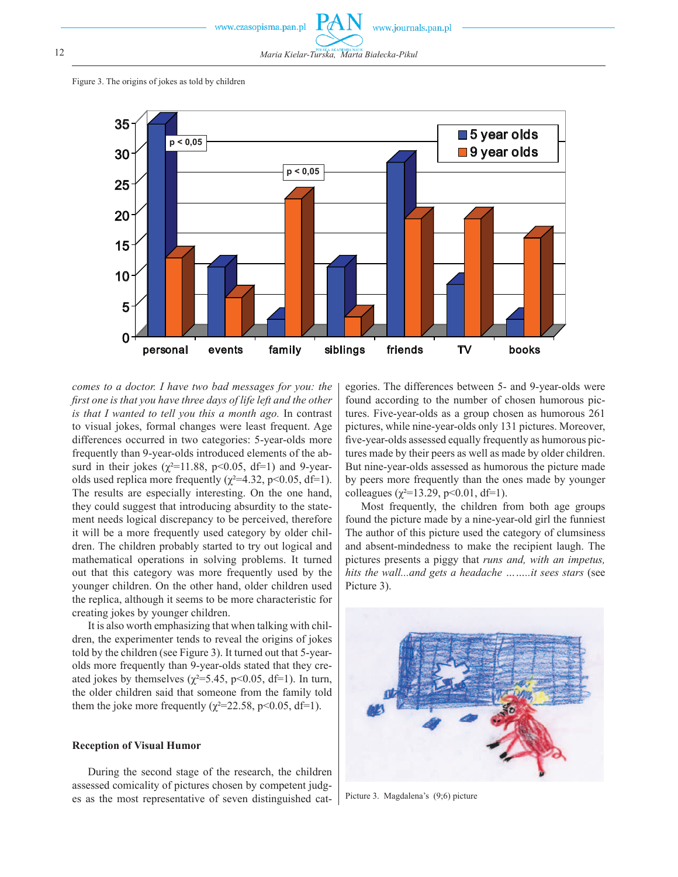

Figure 3. The origins of jokes as told by children



*comes to a doctor. I have two bad messages for you: the first one is that you have three days of life left and the other is that I wanted to tell you this a month ago.* In contrast to visual jokes, formal changes were least frequent. Age differences occurred in two categories: 5-year-olds more frequently than 9-year-olds introduced elements of the absurd in their jokes ( $\chi^2$ =11.88, p<0.05, df=1) and 9-yearolds used replica more frequently ( $\chi^2$ =4.32, p<0.05, df=1). The results are especially interesting. On the one hand, they could suggest that introducing absurdity to the statement needs logical discrepancy to be perceived, therefore it will be a more frequently used category by older children. The children probably started to try out logical and mathematical operations in solving problems. It turned out that this category was more frequently used by the younger children. On the other hand, older children used the replica, although it seems to be more characteristic for creating jokes by younger children.

It is also worth emphasizing that when talking with children, the experimenter tends to reveal the origins of jokes told by the children (see Figure 3). It turned out that 5-yearolds more frequently than 9-year-olds stated that they created jokes by themselves ( $\chi^2$ =5.45, p<0.05, df=1). In turn, the older children said that someone from the family told them the joke more frequently ( $\chi^2$ =22.58, p<0.05, df=1).

#### **Reception of Visual Humor**

During the second stage of the research, the children assessed comicality of pictures chosen by competent judges as the most representative of seven distinguished cat-

egories. The differences between 5- and 9-year-olds were found according to the number of chosen humorous pictures. Five-year-olds as a group chosen as humorous 261 pictures, while nine-year-olds only 131 pictures. Moreover, five-year-olds assessed equally frequently as humorous pictures made by their peers as well as made by older children. But nine-year-olds assessed as humorous the picture made by peers more frequently than the ones made by younger colleagues ( $\chi^2$ =13.29, p<0.01, df=1).

Most frequently, the children from both age groups found the picture made by a nine-year-old girl the funniest The author of this picture used the category of clumsiness and absent-mindedness to make the recipient laugh. The pictures presents a piggy that *runs and, with an impetus, hits the wall...and gets a headache ……..it sees stars* (see Picture 3).



Picture 3. Magdalena's (9;6) picture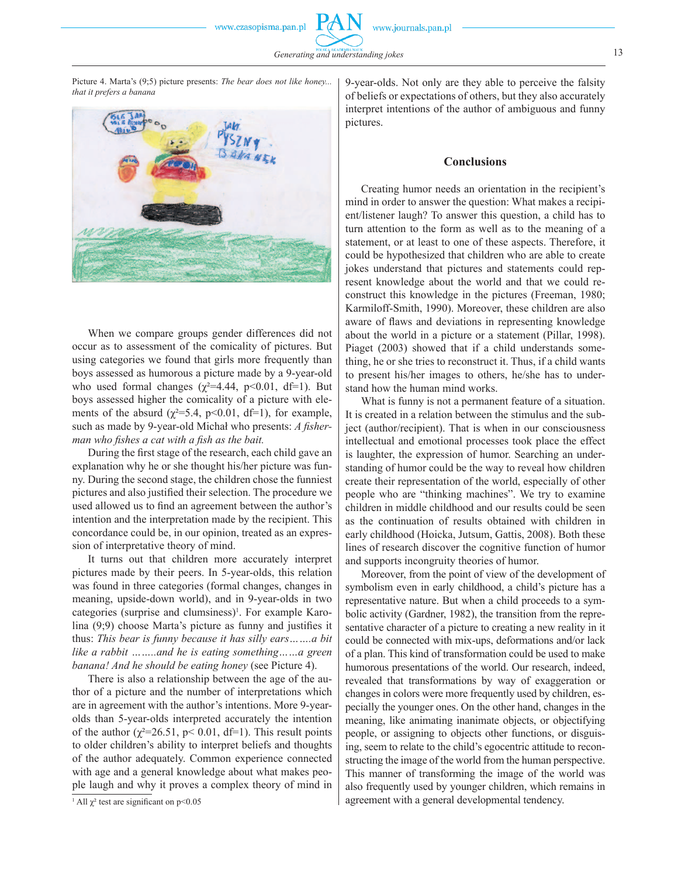www.czasopisma.pan.pl

Picture 4. Marta's (9;5) picture presents: *The bear does not like honey... that it prefers a banana*



When we compare groups gender differences did not occur as to assessment of the comicality of pictures. But using categories we found that girls more frequently than boys assessed as humorous a picture made by a 9-year-old who used formal changes ( $\chi^2$ =4.44, p<0.01, df=1). But boys assessed higher the comicality of a picture with elements of the absurd ( $\chi^2$ =5.4, p<0.01, df=1), for example, such as made by 9-year-old Michał who presents: *A fisherman who fishes a cat with a fish as the bait.*

During the first stage of the research, each child gave an explanation why he or she thought his/her picture was funny. During the second stage, the children chose the funniest pictures and also justified their selection. The procedure we used allowed us to find an agreement between the author's intention and the interpretation made by the recipient. This concordance could be, in our opinion, treated as an expression of interpretative theory of mind.

It turns out that children more accurately interpret pictures made by their peers. In 5-year-olds, this relation was found in three categories (formal changes, changes in meaning, upside-down world), and in 9-year-olds in two categories (surprise and clumsiness)<sup>1</sup>. For example Karolina (9;9) choose Marta's picture as funny and justifies it thus: *This bear is funny because it has silly ears…….a bit like a rabbit ……..and he is eating something……a green banana! And he should be eating honey* (see Picture 4).

There is also a relationship between the age of the author of a picture and the number of interpretations which are in agreement with the author's intentions. More 9-yearolds than 5-year-olds interpreted accurately the intention of the author ( $\chi^2$ =26.51, p< 0.01, df=1). This result points to older children's ability to interpret beliefs and thoughts of the author adequately. Common experience connected with age and a general knowledge about what makes people laugh and why it proves a complex theory of mind in 9-year-olds. Not only are they able to perceive the falsity of beliefs or expectations of others, but they also accurately interpret intentions of the author of ambiguous and funny pictures.

#### **Conclusions**

Creating humor needs an orientation in the recipient's mind in order to answer the question: What makes a recipient/listener laugh? To answer this question, a child has to turn attention to the form as well as to the meaning of a statement, or at least to one of these aspects. Therefore, it could be hypothesized that children who are able to create jokes understand that pictures and statements could represent knowledge about the world and that we could reconstruct this knowledge in the pictures (Freeman, 1980; Karmiloff-Smith, 1990). Moreover, these children are also aware of flaws and deviations in representing knowledge about the world in a picture or a statement (Pillar, 1998). Piaget (2003) showed that if a child understands something, he or she tries to reconstruct it. Thus, if a child wants to present his/her images to others, he/she has to understand how the human mind works.

What is funny is not a permanent feature of a situation. It is created in a relation between the stimulus and the subject (author/recipient). That is when in our consciousness intellectual and emotional processes took place the effect is laughter, the expression of humor. Searching an understanding of humor could be the way to reveal how children create their representation of the world, especially of other people who are "thinking machines". We try to examine children in middle childhood and our results could be seen as the continuation of results obtained with children in early childhood (Hoicka, Jutsum, Gattis, 2008). Both these lines of research discover the cognitive function of humor and supports incongruity theories of humor.

Moreover, from the point of view of the development of symbolism even in early childhood, a child's picture has a representative nature. But when a child proceeds to a symbolic activity (Gardner, 1982), the transition from the representative character of a picture to creating a new reality in it could be connected with mix-ups, deformations and/or lack of a plan. This kind of transformation could be used to make humorous presentations of the world. Our research, indeed, revealed that transformations by way of exaggeration or changes in colors were more frequently used by children, especially the younger ones. On the other hand, changes in the meaning, like animating inanimate objects, or objectifying people, or assigning to objects other functions, or disguising, seem to relate to the child's egocentric attitude to reconstructing the image of the world from the human perspective. This manner of transforming the image of the world was also frequently used by younger children, which remains in agreement with a general developmental tendency.

<sup>&</sup>lt;sup>1</sup> All  $\chi^2$  test are significant on p<0.05